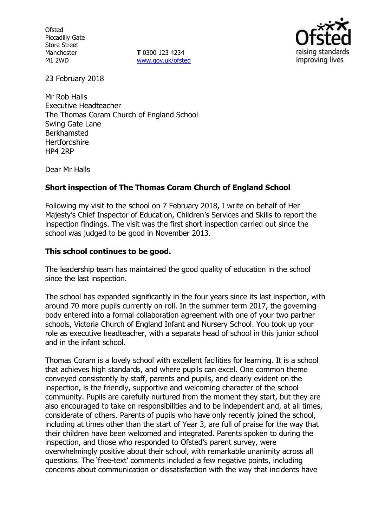**Ofsted** Piccadilly Gate Store Street Manchester M1 2WD

**T** 0300 123 4234 www.gov.uk/ofsted



23 February 2018

Mr Rob Halls Executive Headteacher The Thomas Coram Church of England School Swing Gate Lane Berkhamsted **Hertfordshire** HP4 2RP

Dear Mr Halls

### **Short inspection of The Thomas Coram Church of England School**

Following my visit to the school on 7 February 2018, I write on behalf of Her Majesty's Chief Inspector of Education, Children's Services and Skills to report the inspection findings. The visit was the first short inspection carried out since the school was judged to be good in November 2013.

### **This school continues to be good.**

The leadership team has maintained the good quality of education in the school since the last inspection.

The school has expanded significantly in the four years since its last inspection, with around 70 more pupils currently on roll. In the summer term 2017, the governing body entered into a formal collaboration agreement with one of your two partner schools, Victoria Church of England Infant and Nursery School. You took up your role as executive headteacher, with a separate head of school in this junior school and in the infant school.

Thomas Coram is a lovely school with excellent facilities for learning. It is a school that achieves high standards, and where pupils can excel. One common theme conveyed consistently by staff, parents and pupils, and clearly evident on the inspection, is the friendly, supportive and welcoming character of the school community. Pupils are carefully nurtured from the moment they start, but they are also encouraged to take on responsibilities and to be independent and, at all times, considerate of others. Parents of pupils who have only recently joined the school, including at times other than the start of Year 3, are full of praise for the way that their children have been welcomed and integrated. Parents spoken to during the inspection, and those who responded to Ofsted's parent survey, were overwhelmingly positive about their school, with remarkable unanimity across all questions. The 'free-text' comments included a few negative points, including concerns about communication or dissatisfaction with the way that incidents have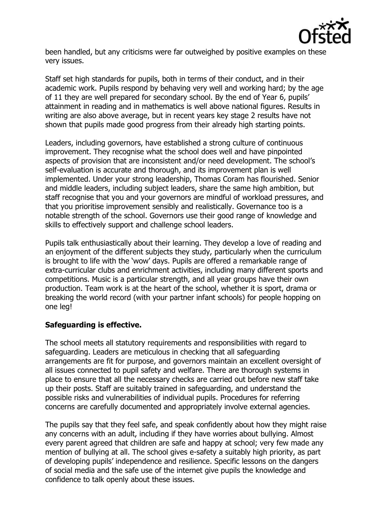

been handled, but any criticisms were far outweighed by positive examples on these very issues.

Staff set high standards for pupils, both in terms of their conduct, and in their academic work. Pupils respond by behaving very well and working hard; by the age of 11 they are well prepared for secondary school. By the end of Year 6, pupils' attainment in reading and in mathematics is well above national figures. Results in writing are also above average, but in recent years key stage 2 results have not shown that pupils made good progress from their already high starting points.

Leaders, including governors, have established a strong culture of continuous improvement. They recognise what the school does well and have pinpointed aspects of provision that are inconsistent and/or need development. The school's self-evaluation is accurate and thorough, and its improvement plan is well implemented. Under your strong leadership, Thomas Coram has flourished. Senior and middle leaders, including subject leaders, share the same high ambition, but staff recognise that you and your governors are mindful of workload pressures, and that you prioritise improvement sensibly and realistically. Governance too is a notable strength of the school. Governors use their good range of knowledge and skills to effectively support and challenge school leaders.

Pupils talk enthusiastically about their learning. They develop a love of reading and an enjoyment of the different subjects they study, particularly when the curriculum is brought to life with the 'wow' days. Pupils are offered a remarkable range of extra-curricular clubs and enrichment activities, including many different sports and competitions. Music is a particular strength, and all year groups have their own production. Team work is at the heart of the school, whether it is sport, drama or breaking the world record (with your partner infant schools) for people hopping on one leg!

## **Safeguarding is effective.**

The school meets all statutory requirements and responsibilities with regard to safeguarding. Leaders are meticulous in checking that all safeguarding arrangements are fit for purpose, and governors maintain an excellent oversight of all issues connected to pupil safety and welfare. There are thorough systems in place to ensure that all the necessary checks are carried out before new staff take up their posts. Staff are suitably trained in safeguarding, and understand the possible risks and vulnerabilities of individual pupils. Procedures for referring concerns are carefully documented and appropriately involve external agencies.

The pupils say that they feel safe, and speak confidently about how they might raise any concerns with an adult, including if they have worries about bullying. Almost every parent agreed that children are safe and happy at school; very few made any mention of bullying at all. The school gives e-safety a suitably high priority, as part of developing pupils' independence and resilience. Specific lessons on the dangers of social media and the safe use of the internet give pupils the knowledge and confidence to talk openly about these issues.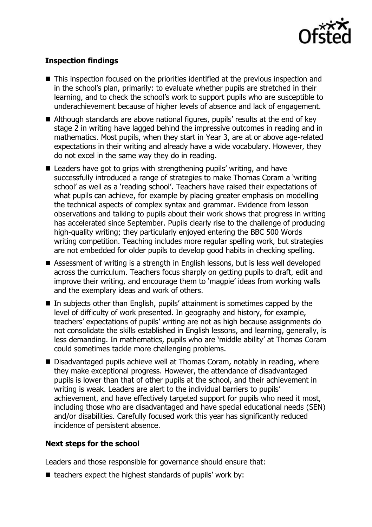

# **Inspection findings**

- This inspection focused on the priorities identified at the previous inspection and in the school's plan, primarily: to evaluate whether pupils are stretched in their learning, and to check the school's work to support pupils who are susceptible to underachievement because of higher levels of absence and lack of engagement.
- Although standards are above national figures, pupils' results at the end of key stage 2 in writing have lagged behind the impressive outcomes in reading and in mathematics. Most pupils, when they start in Year 3, are at or above age-related expectations in their writing and already have a wide vocabulary. However, they do not excel in the same way they do in reading.
- Leaders have got to grips with strengthening pupils' writing, and have successfully introduced a range of strategies to make Thomas Coram a 'writing school' as well as a 'reading school'. Teachers have raised their expectations of what pupils can achieve, for example by placing greater emphasis on modelling the technical aspects of complex syntax and grammar. Evidence from lesson observations and talking to pupils about their work shows that progress in writing has accelerated since September. Pupils clearly rise to the challenge of producing high-quality writing; they particularly enjoyed entering the BBC 500 Words writing competition. Teaching includes more regular spelling work, but strategies are not embedded for older pupils to develop good habits in checking spelling.
- Assessment of writing is a strength in English lessons, but is less well developed across the curriculum. Teachers focus sharply on getting pupils to draft, edit and improve their writing, and encourage them to 'magpie' ideas from working walls and the exemplary ideas and work of others.
- In subjects other than English, pupils' attainment is sometimes capped by the level of difficulty of work presented. In geography and history, for example, teachers' expectations of pupils' writing are not as high because assignments do not consolidate the skills established in English lessons, and learning, generally, is less demanding. In mathematics, pupils who are 'middle ability' at Thomas Coram could sometimes tackle more challenging problems.
- Disadvantaged pupils achieve well at Thomas Coram, notably in reading, where they make exceptional progress. However, the attendance of disadvantaged pupils is lower than that of other pupils at the school, and their achievement in writing is weak. Leaders are alert to the individual barriers to pupils' achievement, and have effectively targeted support for pupils who need it most, including those who are disadvantaged and have special educational needs (SEN) and/or disabilities. Carefully focused work this year has significantly reduced incidence of persistent absence.

### **Next steps for the school**

Leaders and those responsible for governance should ensure that:

 $\blacksquare$  teachers expect the highest standards of pupils' work by: